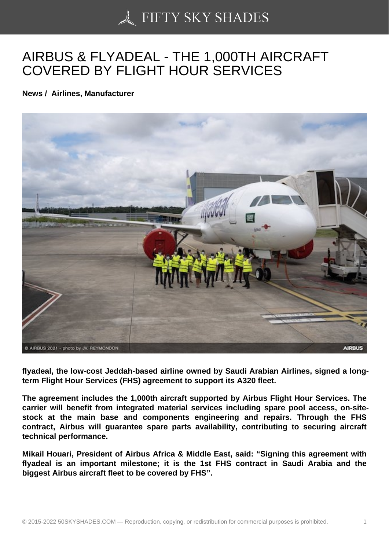## [AIRBUS & FLYADEAL](https://50skyshades.com) - THE 1,000TH AIRCRAFT COVERED BY FLIGHT HOUR SERVICES

News / Airlines, Manufacturer

flyadeal, the low-cost Jeddah-based airline owned by Saudi Arabian Airlines, signed a longterm Flight Hour Services (FHS) agreement to support its A320 fleet.

The agreement includes the 1,000th aircraft supported by Airbus Flight Hour Services. The carrier will benefit from integrated material services including spare pool access, on-sitestock at the main base and components engineering and repairs. Through the FHS contract, Airbus will guarantee spare parts availability, contributing to securing aircraft technical performance.

Mikail Houari, President of Airbus Africa & Middle East, said: "Signing this agreement with flyadeal is an important milestone; it is the 1st FHS contract in Saudi Arabia and the biggest Airbus aircraft fleet to be covered by FHS".